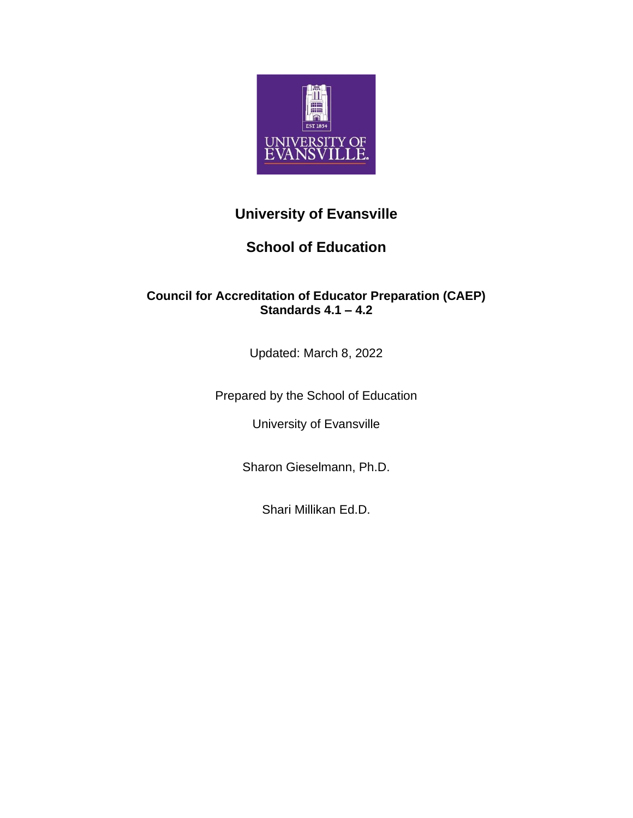

# **University of Evansville**

# **School of Education**

# **Council for Accreditation of Educator Preparation (CAEP) Standards 4.1 – 4.2**

Updated: March 8, 2022

Prepared by the School of Education

University of Evansville

Sharon Gieselmann, Ph.D.

Shari Millikan Ed.D.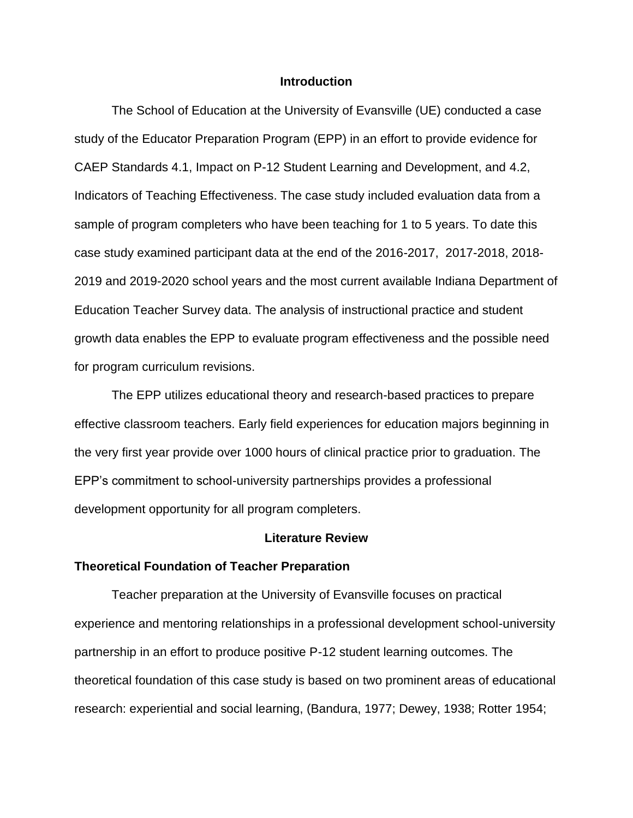### **Introduction**

The School of Education at the University of Evansville (UE) conducted a case study of the Educator Preparation Program (EPP) in an effort to provide evidence for CAEP Standards 4.1, Impact on P-12 Student Learning and Development, and 4.2, Indicators of Teaching Effectiveness. The case study included evaluation data from a sample of program completers who have been teaching for 1 to 5 years. To date this case study examined participant data at the end of the 2016-2017, 2017-2018, 2018- 2019 and 2019-2020 school years and the most current available Indiana Department of Education Teacher Survey data. The analysis of instructional practice and student growth data enables the EPP to evaluate program effectiveness and the possible need for program curriculum revisions.

The EPP utilizes educational theory and research-based practices to prepare effective classroom teachers. Early field experiences for education majors beginning in the very first year provide over 1000 hours of clinical practice prior to graduation. The EPP's commitment to school-university partnerships provides a professional development opportunity for all program completers.

#### **Literature Review**

#### **Theoretical Foundation of Teacher Preparation**

Teacher preparation at the University of Evansville focuses on practical experience and mentoring relationships in a professional development school-university partnership in an effort to produce positive P-12 student learning outcomes. The theoretical foundation of this case study is based on two prominent areas of educational research: experiential and social learning, (Bandura, 1977; Dewey, 1938; Rotter 1954;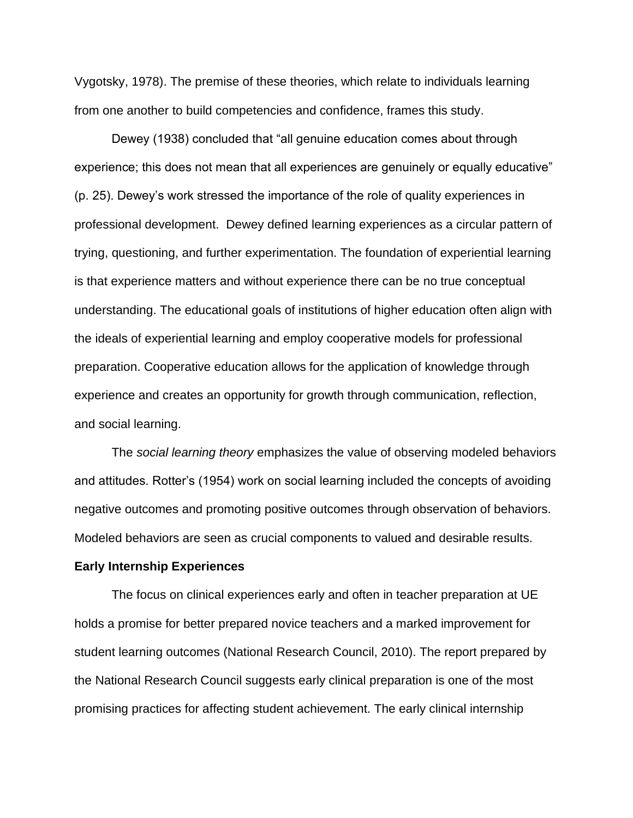Vygotsky, 1978). The premise of these theories, which relate to individuals learning from one another to build competencies and confidence, frames this study.

Dewey (1938) concluded that "all genuine education comes about through experience; this does not mean that all experiences are genuinely or equally educative" (p. 25). Dewey's work stressed the importance of the role of quality experiences in professional development. Dewey defined learning experiences as a circular pattern of trying, questioning, and further experimentation. The foundation of experiential learning is that experience matters and without experience there can be no true conceptual understanding. The educational goals of institutions of higher education often align with the ideals of experiential learning and employ cooperative models for professional preparation. Cooperative education allows for the application of knowledge through experience and creates an opportunity for growth through communication, reflection, and social learning.

The *social learning theory* emphasizes the value of observing modeled behaviors and attitudes. Rotter's (1954) work on social learning included the concepts of avoiding negative outcomes and promoting positive outcomes through observation of behaviors. Modeled behaviors are seen as crucial components to valued and desirable results.

#### **Early Internship Experiences**

The focus on clinical experiences early and often in teacher preparation at UE holds a promise for better prepared novice teachers and a marked improvement for student learning outcomes (National Research Council, 2010). The report prepared by the National Research Council suggests early clinical preparation is one of the most promising practices for affecting student achievement. The early clinical internship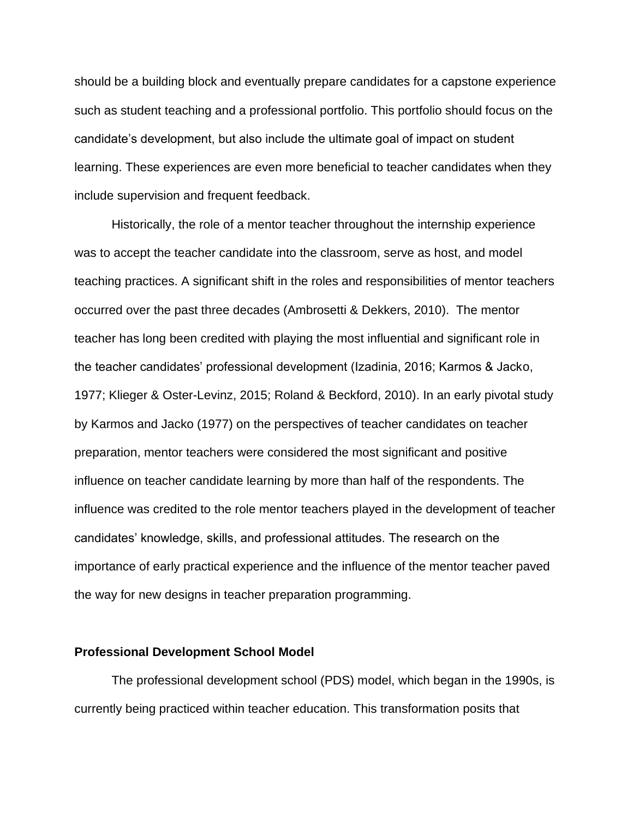should be a building block and eventually prepare candidates for a capstone experience such as student teaching and a professional portfolio. This portfolio should focus on the candidate's development, but also include the ultimate goal of impact on student learning. These experiences are even more beneficial to teacher candidates when they include supervision and frequent feedback.

Historically, the role of a mentor teacher throughout the internship experience was to accept the teacher candidate into the classroom, serve as host, and model teaching practices. A significant shift in the roles and responsibilities of mentor teachers occurred over the past three decades (Ambrosetti & Dekkers, 2010). The mentor teacher has long been credited with playing the most influential and significant role in the teacher candidates' professional development (Izadinia, 2016; Karmos & Jacko, 1977; Klieger & Oster-Levinz, 2015; Roland & Beckford, 2010). In an early pivotal study by Karmos and Jacko (1977) on the perspectives of teacher candidates on teacher preparation, mentor teachers were considered the most significant and positive influence on teacher candidate learning by more than half of the respondents. The influence was credited to the role mentor teachers played in the development of teacher candidates' knowledge, skills, and professional attitudes. The research on the importance of early practical experience and the influence of the mentor teacher paved the way for new designs in teacher preparation programming.

#### **Professional Development School Model**

The professional development school (PDS) model, which began in the 1990s, is currently being practiced within teacher education. This transformation posits that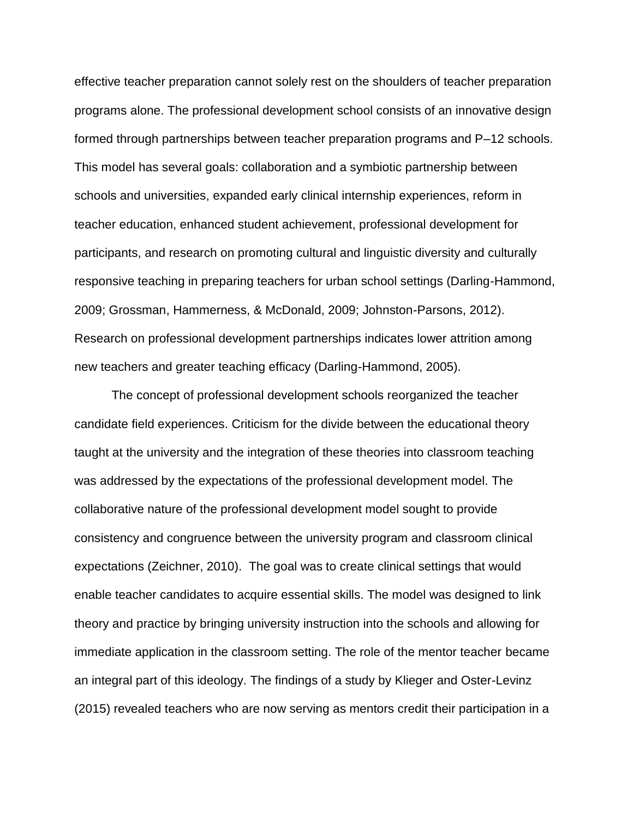effective teacher preparation cannot solely rest on the shoulders of teacher preparation programs alone. The professional development school consists of an innovative design formed through partnerships between teacher preparation programs and P–12 schools. This model has several goals: collaboration and a symbiotic partnership between schools and universities, expanded early clinical internship experiences, reform in teacher education, enhanced student achievement, professional development for participants, and research on promoting cultural and linguistic diversity and culturally responsive teaching in preparing teachers for urban school settings (Darling-Hammond, 2009; Grossman, Hammerness, & McDonald, 2009; Johnston-Parsons, 2012). Research on professional development partnerships indicates lower attrition among new teachers and greater teaching efficacy (Darling-Hammond, 2005).

The concept of professional development schools reorganized the teacher candidate field experiences. Criticism for the divide between the educational theory taught at the university and the integration of these theories into classroom teaching was addressed by the expectations of the professional development model. The collaborative nature of the professional development model sought to provide consistency and congruence between the university program and classroom clinical expectations (Zeichner, 2010). The goal was to create clinical settings that would enable teacher candidates to acquire essential skills. The model was designed to link theory and practice by bringing university instruction into the schools and allowing for immediate application in the classroom setting. The role of the mentor teacher became an integral part of this ideology. The findings of a study by Klieger and Oster-Levinz (2015) revealed teachers who are now serving as mentors credit their participation in a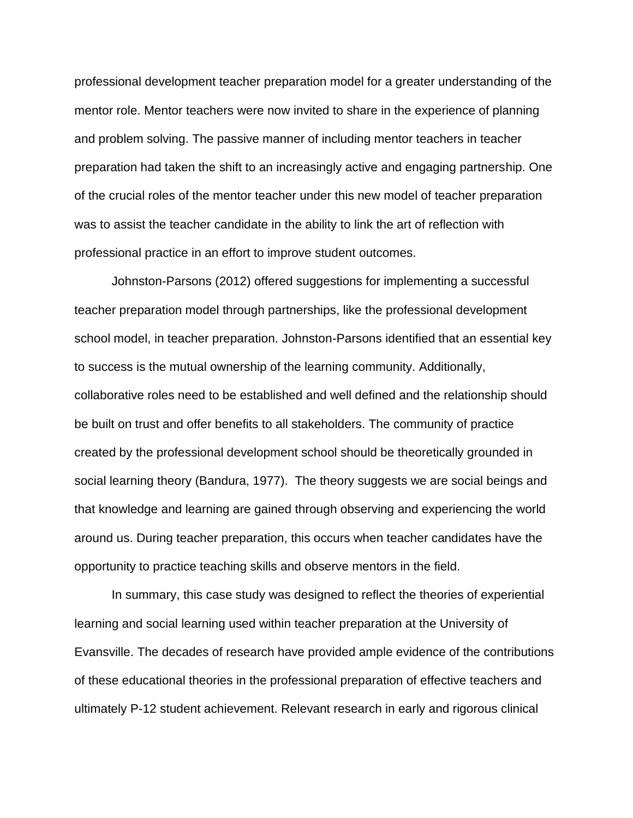professional development teacher preparation model for a greater understanding of the mentor role. Mentor teachers were now invited to share in the experience of planning and problem solving. The passive manner of including mentor teachers in teacher preparation had taken the shift to an increasingly active and engaging partnership. One of the crucial roles of the mentor teacher under this new model of teacher preparation was to assist the teacher candidate in the ability to link the art of reflection with professional practice in an effort to improve student outcomes.

Johnston-Parsons (2012) offered suggestions for implementing a successful teacher preparation model through partnerships, like the professional development school model, in teacher preparation. Johnston-Parsons identified that an essential key to success is the mutual ownership of the learning community. Additionally, collaborative roles need to be established and well defined and the relationship should be built on trust and offer benefits to all stakeholders. The community of practice created by the professional development school should be theoretically grounded in social learning theory (Bandura, 1977). The theory suggests we are social beings and that knowledge and learning are gained through observing and experiencing the world around us. During teacher preparation, this occurs when teacher candidates have the opportunity to practice teaching skills and observe mentors in the field.

In summary, this case study was designed to reflect the theories of experiential learning and social learning used within teacher preparation at the University of Evansville. The decades of research have provided ample evidence of the contributions of these educational theories in the professional preparation of effective teachers and ultimately P-12 student achievement. Relevant research in early and rigorous clinical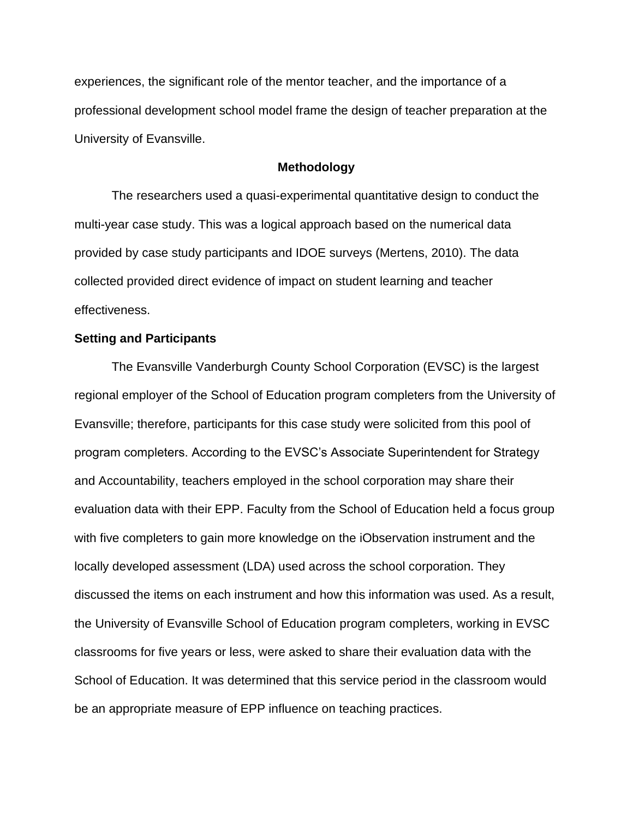experiences, the significant role of the mentor teacher, and the importance of a professional development school model frame the design of teacher preparation at the University of Evansville.

### **Methodology**

The researchers used a quasi-experimental quantitative design to conduct the multi-year case study. This was a logical approach based on the numerical data provided by case study participants and IDOE surveys (Mertens, 2010). The data collected provided direct evidence of impact on student learning and teacher effectiveness.

### **Setting and Participants**

The Evansville Vanderburgh County School Corporation (EVSC) is the largest regional employer of the School of Education program completers from the University of Evansville; therefore, participants for this case study were solicited from this pool of program completers. According to the EVSC's Associate Superintendent for Strategy and Accountability, teachers employed in the school corporation may share their evaluation data with their EPP. Faculty from the School of Education held a focus group with five completers to gain more knowledge on the iObservation instrument and the locally developed assessment (LDA) used across the school corporation. They discussed the items on each instrument and how this information was used. As a result, the University of Evansville School of Education program completers, working in EVSC classrooms for five years or less, were asked to share their evaluation data with the School of Education. It was determined that this service period in the classroom would be an appropriate measure of EPP influence on teaching practices.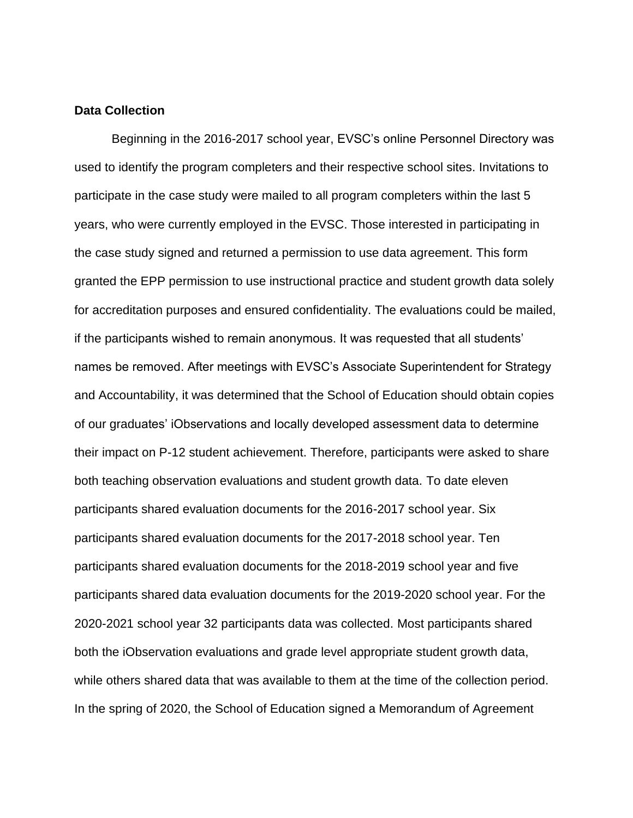### **Data Collection**

Beginning in the 2016-2017 school year, EVSC's online Personnel Directory was used to identify the program completers and their respective school sites. Invitations to participate in the case study were mailed to all program completers within the last 5 years, who were currently employed in the EVSC. Those interested in participating in the case study signed and returned a permission to use data agreement. This form granted the EPP permission to use instructional practice and student growth data solely for accreditation purposes and ensured confidentiality. The evaluations could be mailed, if the participants wished to remain anonymous. It was requested that all students' names be removed. After meetings with EVSC's Associate Superintendent for Strategy and Accountability, it was determined that the School of Education should obtain copies of our graduates' iObservations and locally developed assessment data to determine their impact on P-12 student achievement. Therefore, participants were asked to share both teaching observation evaluations and student growth data. To date eleven participants shared evaluation documents for the 2016-2017 school year. Six participants shared evaluation documents for the 2017-2018 school year. Ten participants shared evaluation documents for the 2018-2019 school year and five participants shared data evaluation documents for the 2019-2020 school year. For the 2020-2021 school year 32 participants data was collected. Most participants shared both the iObservation evaluations and grade level appropriate student growth data, while others shared data that was available to them at the time of the collection period. In the spring of 2020, the School of Education signed a Memorandum of Agreement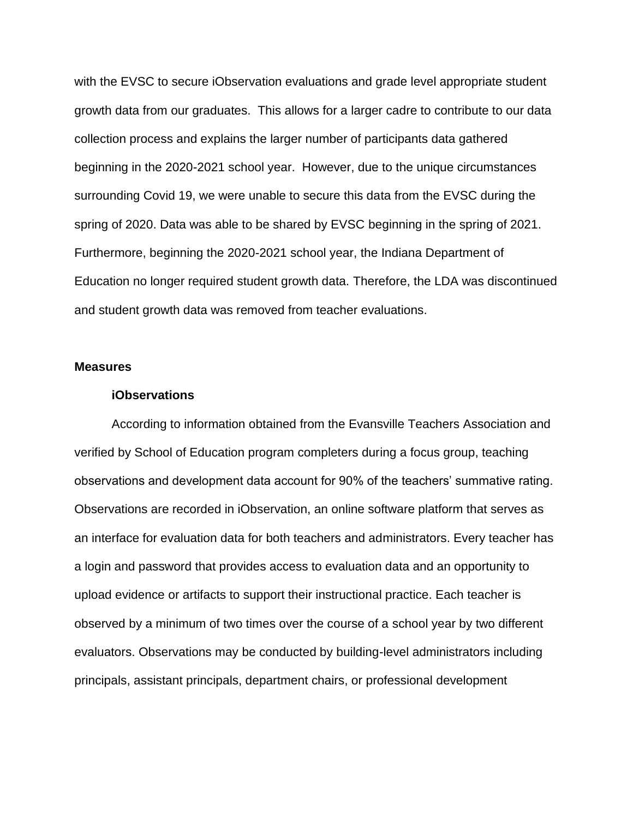with the EVSC to secure iObservation evaluations and grade level appropriate student growth data from our graduates. This allows for a larger cadre to contribute to our data collection process and explains the larger number of participants data gathered beginning in the 2020-2021 school year. However, due to the unique circumstances surrounding Covid 19, we were unable to secure this data from the EVSC during the spring of 2020. Data was able to be shared by EVSC beginning in the spring of 2021. Furthermore, beginning the 2020-2021 school year, the Indiana Department of Education no longer required student growth data. Therefore, the LDA was discontinued and student growth data was removed from teacher evaluations.

#### **Measures**

#### **iObservations**

According to information obtained from the Evansville Teachers Association and verified by School of Education program completers during a focus group, teaching observations and development data account for 90% of the teachers' summative rating. Observations are recorded in iObservation, an online software platform that serves as an interface for evaluation data for both teachers and administrators. Every teacher has a login and password that provides access to evaluation data and an opportunity to upload evidence or artifacts to support their instructional practice. Each teacher is observed by a minimum of two times over the course of a school year by two different evaluators. Observations may be conducted by building-level administrators including principals, assistant principals, department chairs, or professional development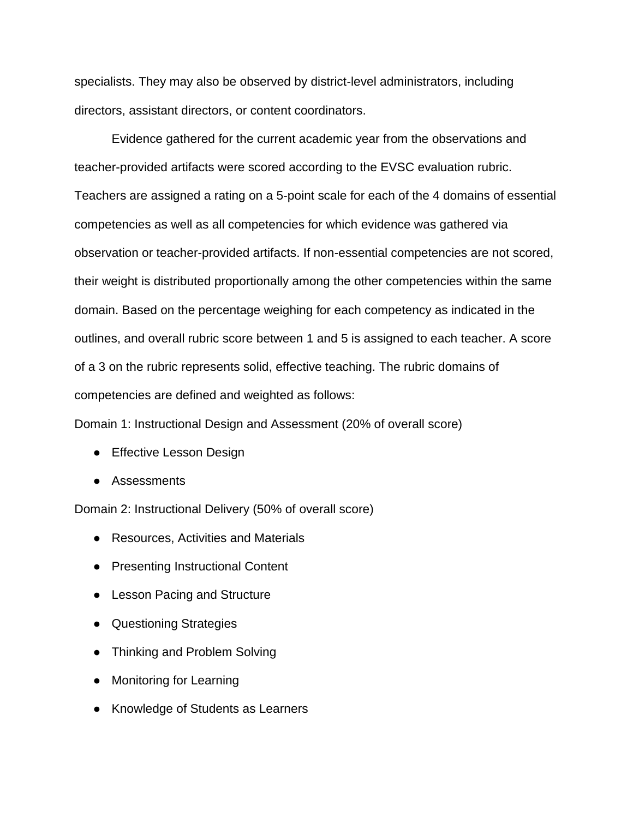specialists. They may also be observed by district-level administrators, including directors, assistant directors, or content coordinators.

Evidence gathered for the current academic year from the observations and teacher-provided artifacts were scored according to the EVSC evaluation rubric. Teachers are assigned a rating on a 5-point scale for each of the 4 domains of essential competencies as well as all competencies for which evidence was gathered via observation or teacher-provided artifacts. If non-essential competencies are not scored, their weight is distributed proportionally among the other competencies within the same domain. Based on the percentage weighing for each competency as indicated in the outlines, and overall rubric score between 1 and 5 is assigned to each teacher. A score of a 3 on the rubric represents solid, effective teaching. The rubric domains of competencies are defined and weighted as follows:

Domain 1: Instructional Design and Assessment (20% of overall score)

- Effective Lesson Design
- Assessments

Domain 2: Instructional Delivery (50% of overall score)

- Resources, Activities and Materials
- Presenting Instructional Content
- Lesson Pacing and Structure
- Questioning Strategies
- Thinking and Problem Solving
- Monitoring for Learning
- Knowledge of Students as Learners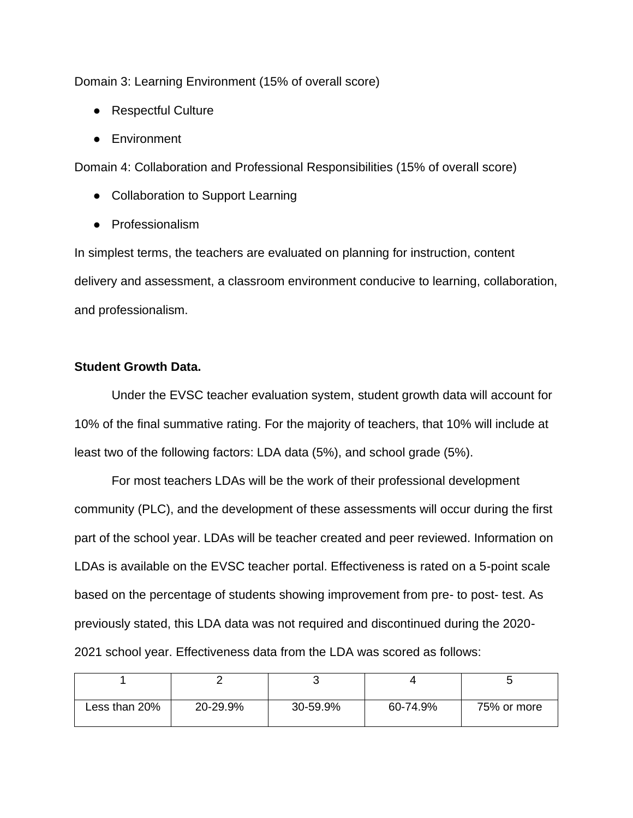Domain 3: Learning Environment (15% of overall score)

- Respectful Culture
- Environment

Domain 4: Collaboration and Professional Responsibilities (15% of overall score)

- Collaboration to Support Learning
- Professionalism

In simplest terms, the teachers are evaluated on planning for instruction, content delivery and assessment, a classroom environment conducive to learning, collaboration, and professionalism.

# **Student Growth Data.**

Under the EVSC teacher evaluation system, student growth data will account for 10% of the final summative rating. For the majority of teachers, that 10% will include at least two of the following factors: LDA data (5%), and school grade (5%).

For most teachers LDAs will be the work of their professional development community (PLC), and the development of these assessments will occur during the first part of the school year. LDAs will be teacher created and peer reviewed. Information on LDAs is available on the EVSC teacher portal. Effectiveness is rated on a 5-point scale based on the percentage of students showing improvement from pre- to post- test. As previously stated, this LDA data was not required and discontinued during the 2020- 2021 school year. Effectiveness data from the LDA was scored as follows:

| Less than 20% | 20-29.9% | 30-59.9% | 60-74.9% | 75% or more |
|---------------|----------|----------|----------|-------------|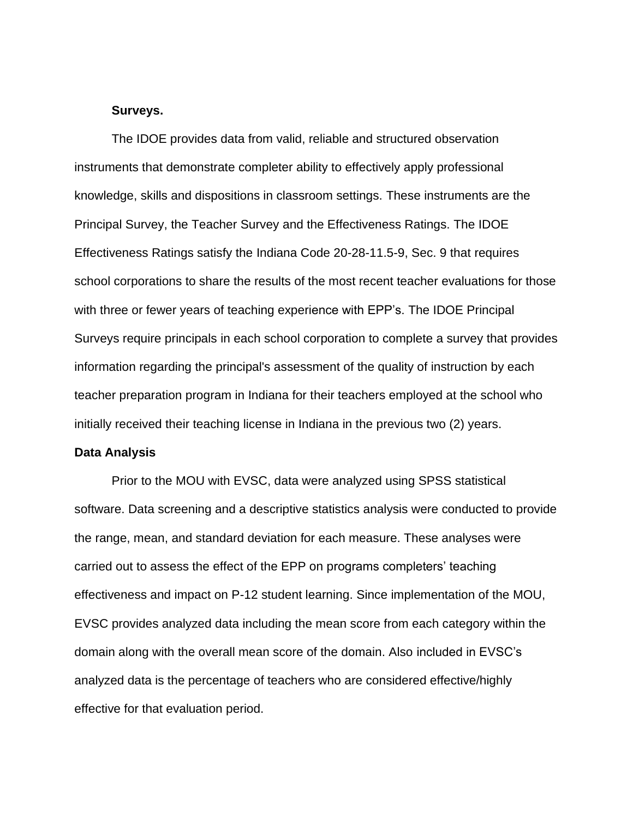#### **Surveys.**

The IDOE provides data from valid, reliable and structured observation instruments that demonstrate completer ability to effectively apply professional knowledge, skills and dispositions in classroom settings. These instruments are the Principal Survey, the Teacher Survey and the Effectiveness Ratings. The IDOE Effectiveness Ratings satisfy the Indiana Code 20-28-11.5-9, Sec. 9 that requires school corporations to share the results of the most recent teacher evaluations for those with three or fewer years of teaching experience with EPP's. The IDOE Principal Surveys require principals in each school corporation to complete a survey that provides information regarding the principal's assessment of the quality of instruction by each teacher preparation program in Indiana for their teachers employed at the school who initially received their teaching license in Indiana in the previous two (2) years.

#### **Data Analysis**

Prior to the MOU with EVSC, data were analyzed using SPSS statistical software. Data screening and a descriptive statistics analysis were conducted to provide the range, mean, and standard deviation for each measure. These analyses were carried out to assess the effect of the EPP on programs completers' teaching effectiveness and impact on P-12 student learning. Since implementation of the MOU, EVSC provides analyzed data including the mean score from each category within the domain along with the overall mean score of the domain. Also included in EVSC's analyzed data is the percentage of teachers who are considered effective/highly effective for that evaluation period.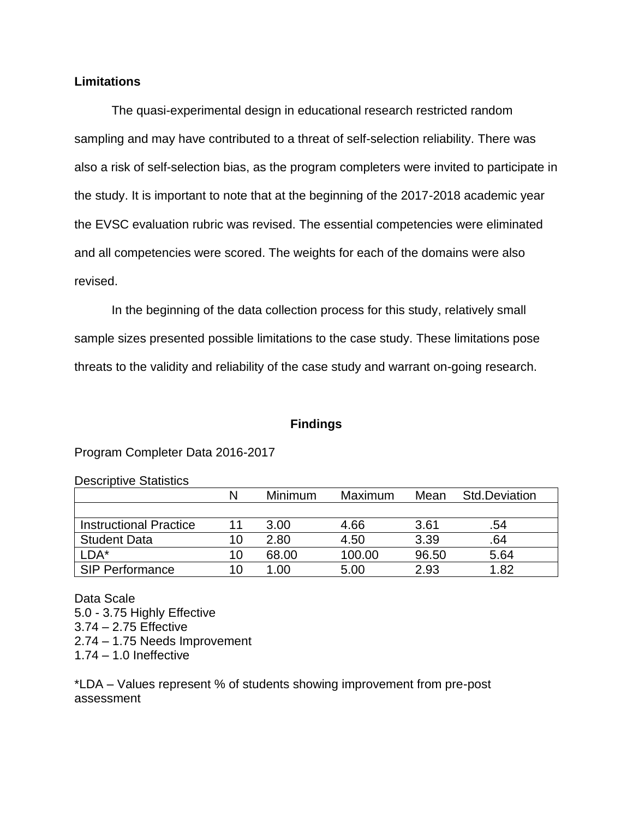# **Limitations**

The quasi-experimental design in educational research restricted random sampling and may have contributed to a threat of self-selection reliability. There was also a risk of self-selection bias, as the program completers were invited to participate in the study. It is important to note that at the beginning of the 2017-2018 academic year the EVSC evaluation rubric was revised. The essential competencies were eliminated and all competencies were scored. The weights for each of the domains were also revised.

In the beginning of the data collection process for this study, relatively small sample sizes presented possible limitations to the case study. These limitations pose threats to the validity and reliability of the case study and warrant on-going research.

## **Findings**

## Program Completer Data 2016-2017

| <b>Descriptive Statistics</b> |
|-------------------------------|
|-------------------------------|

|                               | N  | Minimum | Maximum | Mean  | Std.Deviation |
|-------------------------------|----|---------|---------|-------|---------------|
|                               |    |         |         |       |               |
| <b>Instructional Practice</b> |    | 3.00    | 4.66    | 3.61  | .54           |
| <b>Student Data</b>           | 10 | 2.80    | 4.50    | 3.39  | .64           |
| LDA*                          | 10 | 68.00   | 100.00  | 96.50 | 5.64          |
| SIP Performance               |    | .00     | 5.00    | 2.93  | 1.82          |

Data Scale 5.0 - 3.75 Highly Effective 3.74 – 2.75 Effective 2.74 – 1.75 Needs Improvement 1.74 – 1.0 Ineffective

\*LDA – Values represent % of students showing improvement from pre-post assessment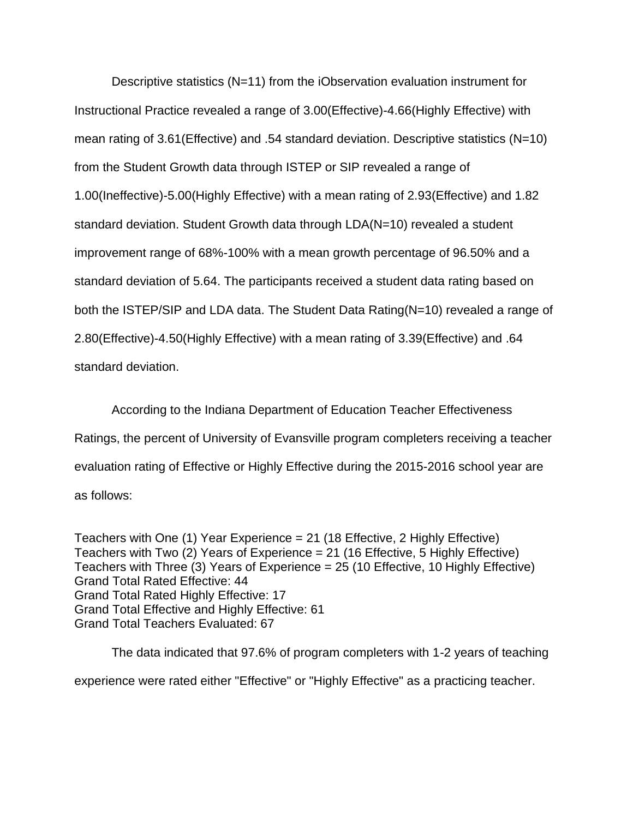Descriptive statistics (N=11) from the iObservation evaluation instrument for Instructional Practice revealed a range of 3.00(Effective)-4.66(Highly Effective) with mean rating of 3.61(Effective) and .54 standard deviation. Descriptive statistics (N=10) from the Student Growth data through ISTEP or SIP revealed a range of 1.00(Ineffective)-5.00(Highly Effective) with a mean rating of 2.93(Effective) and 1.82 standard deviation. Student Growth data through LDA(N=10) revealed a student improvement range of 68%-100% with a mean growth percentage of 96.50% and a standard deviation of 5.64. The participants received a student data rating based on both the ISTEP/SIP and LDA data. The Student Data Rating(N=10) revealed a range of 2.80(Effective)-4.50(Highly Effective) with a mean rating of 3.39(Effective) and .64 standard deviation.

According to the Indiana Department of Education Teacher Effectiveness Ratings, the percent of University of Evansville program completers receiving a teacher evaluation rating of Effective or Highly Effective during the 2015-2016 school year are as follows:

Teachers with One (1) Year Experience = 21 (18 Effective, 2 Highly Effective) Teachers with Two (2) Years of Experience = 21 (16 Effective, 5 Highly Effective) Teachers with Three (3) Years of Experience = 25 (10 Effective, 10 Highly Effective) Grand Total Rated Effective: 44 Grand Total Rated Highly Effective: 17 Grand Total Effective and Highly Effective: 61 Grand Total Teachers Evaluated: 67

The data indicated that 97.6% of program completers with 1-2 years of teaching experience were rated either "Effective" or "Highly Effective" as a practicing teacher.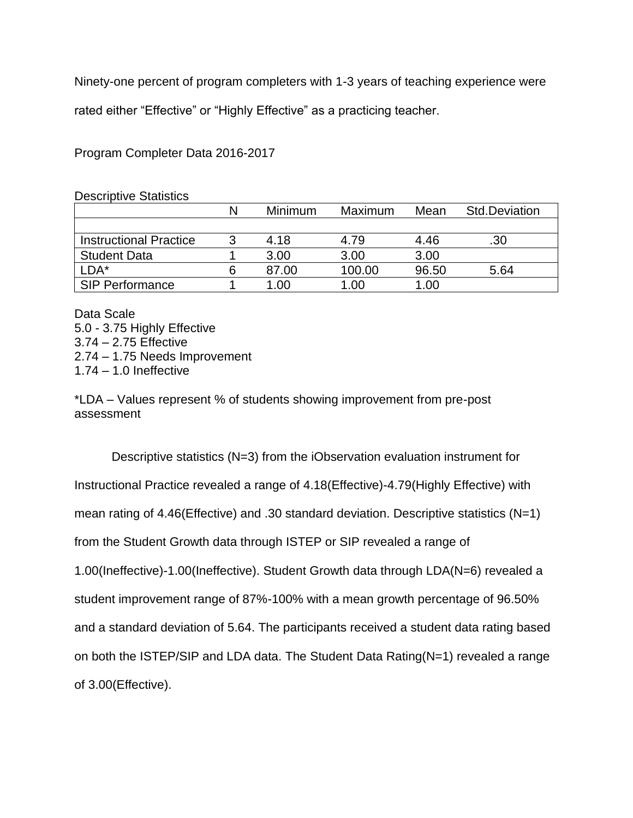Ninety-one percent of program completers with 1-3 years of teaching experience were

rated either "Effective" or "Highly Effective" as a practicing teacher.

Program Completer Data 2016-2017

| <b>Descriptive Statistics</b> |   |                |         |       |                      |
|-------------------------------|---|----------------|---------|-------|----------------------|
|                               | N | <b>Minimum</b> | Maximum | Mean  | <b>Std.Deviation</b> |
|                               |   |                |         |       |                      |
| <b>Instructional Practice</b> | 3 | 4.18           | 4.79    | 4.46  | .30                  |
| <b>Student Data</b>           |   | 3.00           | 3.00    | 3.00  |                      |
| LDA*                          | 6 | 87.00          | 100.00  | 96.50 | 5.64                 |
| <b>SIP Performance</b>        |   | 1.00           | 1.00    | 1.00  |                      |

Data Scale 5.0 - 3.75 Highly Effective 3.74 – 2.75 Effective 2.74 – 1.75 Needs Improvement 1.74 – 1.0 Ineffective

\*LDA – Values represent % of students showing improvement from pre-post assessment

Descriptive statistics (N=3) from the iObservation evaluation instrument for Instructional Practice revealed a range of 4.18(Effective)-4.79(Highly Effective) with mean rating of 4.46(Effective) and .30 standard deviation. Descriptive statistics (N=1) from the Student Growth data through ISTEP or SIP revealed a range of 1.00(Ineffective)-1.00(Ineffective). Student Growth data through LDA(N=6) revealed a student improvement range of 87%-100% with a mean growth percentage of 96.50% and a standard deviation of 5.64. The participants received a student data rating based on both the ISTEP/SIP and LDA data. The Student Data Rating(N=1) revealed a range of 3.00(Effective).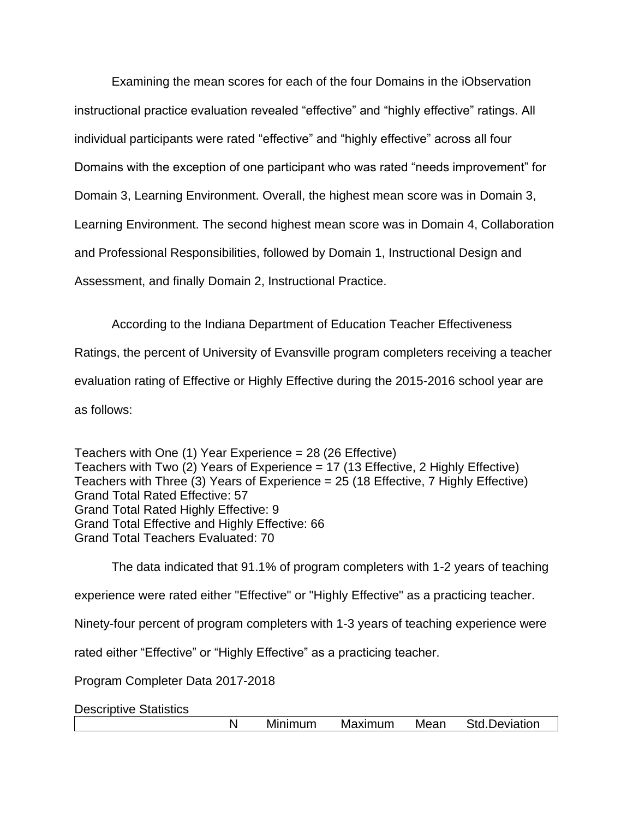Examining the mean scores for each of the four Domains in the iObservation instructional practice evaluation revealed "effective" and "highly effective" ratings. All individual participants were rated "effective" and "highly effective" across all four Domains with the exception of one participant who was rated "needs improvement" for Domain 3, Learning Environment. Overall, the highest mean score was in Domain 3, Learning Environment. The second highest mean score was in Domain 4, Collaboration and Professional Responsibilities, followed by Domain 1, Instructional Design and Assessment, and finally Domain 2, Instructional Practice.

According to the Indiana Department of Education Teacher Effectiveness Ratings, the percent of University of Evansville program completers receiving a teacher evaluation rating of Effective or Highly Effective during the 2015-2016 school year are as follows:

Teachers with One (1) Year Experience = 28 (26 Effective) Teachers with Two (2) Years of Experience = 17 (13 Effective, 2 Highly Effective) Teachers with Three (3) Years of Experience = 25 (18 Effective, 7 Highly Effective) Grand Total Rated Effective: 57 Grand Total Rated Highly Effective: 9 Grand Total Effective and Highly Effective: 66 Grand Total Teachers Evaluated: 70

The data indicated that 91.1% of program completers with 1-2 years of teaching experience were rated either "Effective" or "Highly Effective" as a practicing teacher. Ninety-four percent of program completers with 1-3 years of teaching experience were rated either "Effective" or "Highly Effective" as a practicing teacher. Program Completer Data 2017-2018

Descriptive Statistics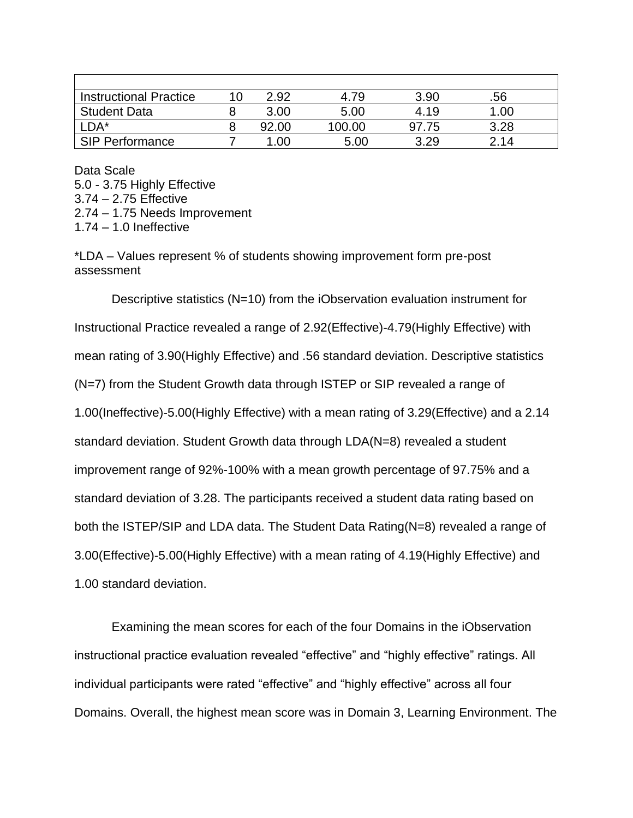| <b>Instructional Practice</b> | 2.92  | 4.79   | 3.90  | .56  |
|-------------------------------|-------|--------|-------|------|
| <b>Student Data</b>           | 3.00  | 5.00   | 4.19  | 1.00 |
| $\mathsf{LDA}^\star$          | 92.00 | 100.00 | 97.75 | 3.28 |
| <b>SIP Performance</b>        | .00   | 5.00   | 3.29  | 2.14 |

Data Scale 5.0 - 3.75 Highly Effective 3.74 – 2.75 Effective 2.74 – 1.75 Needs Improvement 1.74 – 1.0 Ineffective

\*LDA – Values represent % of students showing improvement form pre-post assessment

Descriptive statistics (N=10) from the iObservation evaluation instrument for Instructional Practice revealed a range of 2.92(Effective)-4.79(Highly Effective) with mean rating of 3.90(Highly Effective) and .56 standard deviation. Descriptive statistics (N=7) from the Student Growth data through ISTEP or SIP revealed a range of 1.00(Ineffective)-5.00(Highly Effective) with a mean rating of 3.29(Effective) and a 2.14 standard deviation. Student Growth data through LDA(N=8) revealed a student improvement range of 92%-100% with a mean growth percentage of 97.75% and a standard deviation of 3.28. The participants received a student data rating based on both the ISTEP/SIP and LDA data. The Student Data Rating(N=8) revealed a range of 3.00(Effective)-5.00(Highly Effective) with a mean rating of 4.19(Highly Effective) and 1.00 standard deviation.

Examining the mean scores for each of the four Domains in the iObservation instructional practice evaluation revealed "effective" and "highly effective" ratings. All individual participants were rated "effective" and "highly effective" across all four Domains. Overall, the highest mean score was in Domain 3, Learning Environment. The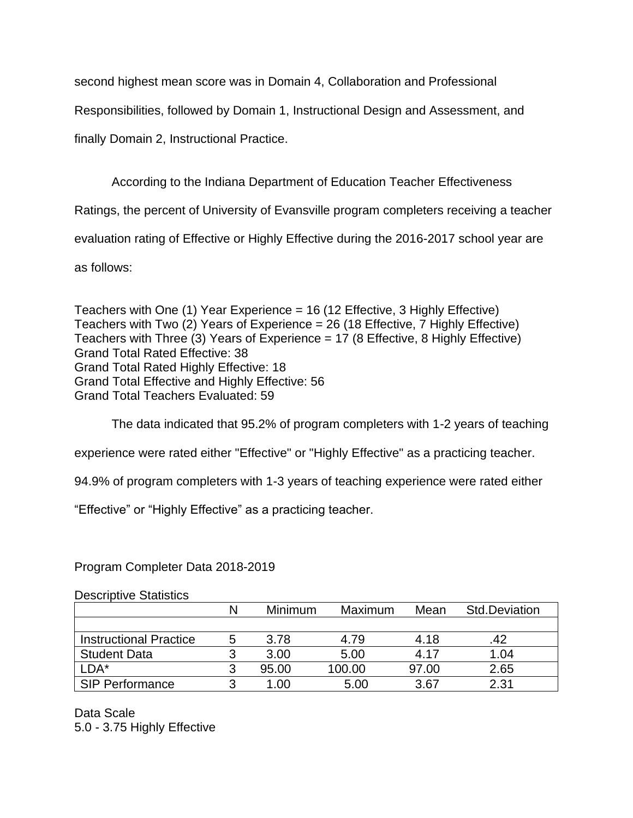second highest mean score was in Domain 4, Collaboration and Professional

Responsibilities, followed by Domain 1, Instructional Design and Assessment, and

finally Domain 2, Instructional Practice.

According to the Indiana Department of Education Teacher Effectiveness Ratings, the percent of University of Evansville program completers receiving a teacher evaluation rating of Effective or Highly Effective during the 2016-2017 school year are

as follows:

Teachers with One (1) Year Experience = 16 (12 Effective, 3 Highly Effective) Teachers with Two (2) Years of Experience = 26 (18 Effective, 7 Highly Effective) Teachers with Three (3) Years of Experience = 17 (8 Effective, 8 Highly Effective) Grand Total Rated Effective: 38 Grand Total Rated Highly Effective: 18 Grand Total Effective and Highly Effective: 56 Grand Total Teachers Evaluated: 59

The data indicated that 95.2% of program completers with 1-2 years of teaching

experience were rated either "Effective" or "Highly Effective" as a practicing teacher.

94.9% of program completers with 1-3 years of teaching experience were rated either

"Effective" or "Highly Effective" as a practicing teacher.

Program Completer Data 2018-2019

Descriptive Statistics

|                               |   | Minimum | Maximum | Mean  | <b>Std.Deviation</b> |
|-------------------------------|---|---------|---------|-------|----------------------|
|                               |   |         |         |       |                      |
| <b>Instructional Practice</b> | 5 | 3.78    | 4.79    | 4.18  | 42                   |
| <b>Student Data</b>           | ว | 3.00    | 5.00    | 4.17  | 1.04                 |
| $\mathsf{LDA}^\star$          | 3 | 95.00   | 100.00  | 97.00 | 2.65                 |
| <b>SIP Performance</b>        | ว | 1.00    | 5.00    | 3.67  | 2.31                 |

Data Scale 5.0 - 3.75 Highly Effective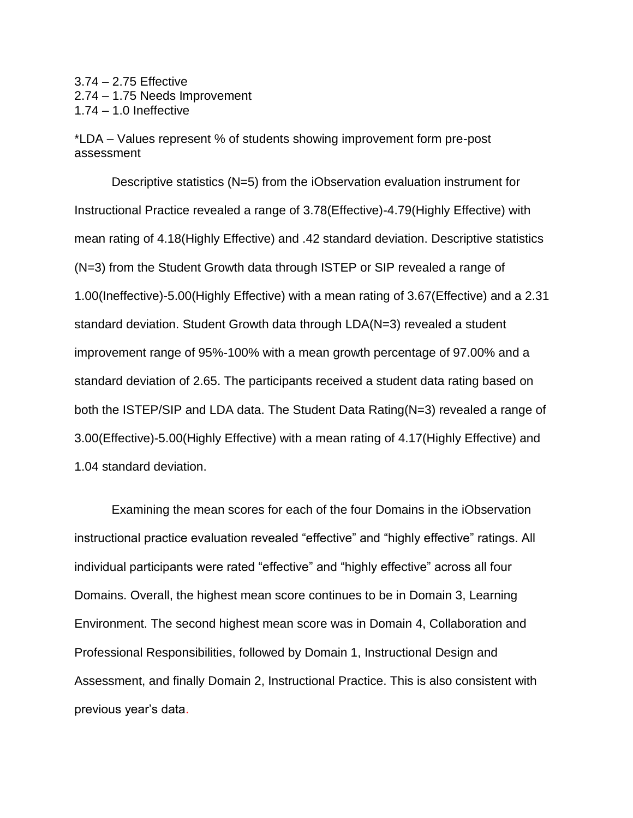3.74 – 2.75 Effective 2.74 – 1.75 Needs Improvement 1.74 – 1.0 Ineffective

\*LDA – Values represent % of students showing improvement form pre-post assessment

Descriptive statistics (N=5) from the iObservation evaluation instrument for Instructional Practice revealed a range of 3.78(Effective)-4.79(Highly Effective) with mean rating of 4.18(Highly Effective) and .42 standard deviation. Descriptive statistics (N=3) from the Student Growth data through ISTEP or SIP revealed a range of 1.00(Ineffective)-5.00(Highly Effective) with a mean rating of 3.67(Effective) and a 2.31 standard deviation. Student Growth data through LDA(N=3) revealed a student improvement range of 95%-100% with a mean growth percentage of 97.00% and a standard deviation of 2.65. The participants received a student data rating based on both the ISTEP/SIP and LDA data. The Student Data Rating(N=3) revealed a range of 3.00(Effective)-5.00(Highly Effective) with a mean rating of 4.17(Highly Effective) and 1.04 standard deviation.

Examining the mean scores for each of the four Domains in the iObservation instructional practice evaluation revealed "effective" and "highly effective" ratings. All individual participants were rated "effective" and "highly effective" across all four Domains. Overall, the highest mean score continues to be in Domain 3, Learning Environment. The second highest mean score was in Domain 4, Collaboration and Professional Responsibilities, followed by Domain 1, Instructional Design and Assessment, and finally Domain 2, Instructional Practice. This is also consistent with previous year's data.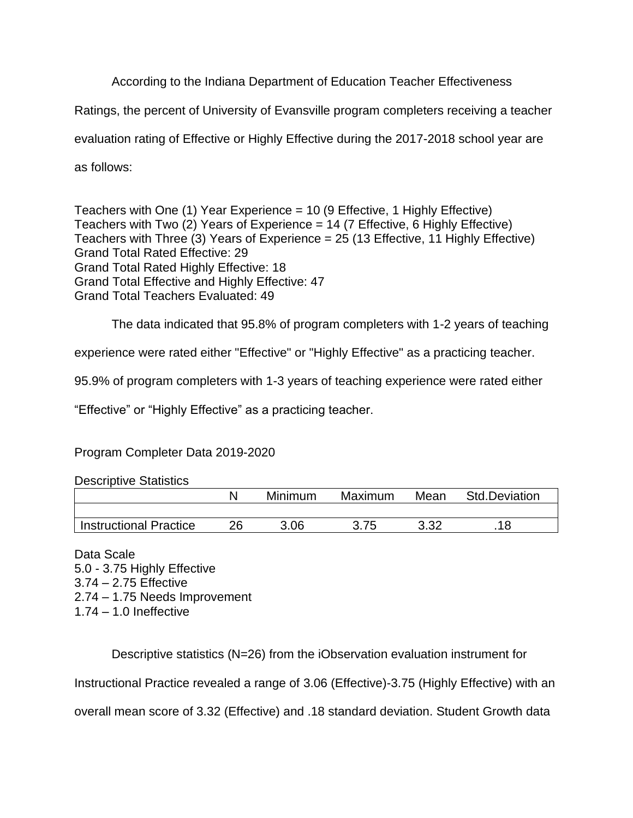According to the Indiana Department of Education Teacher Effectiveness

Ratings, the percent of University of Evansville program completers receiving a teacher

evaluation rating of Effective or Highly Effective during the 2017-2018 school year are

as follows:

Teachers with One (1) Year Experience = 10 (9 Effective, 1 Highly Effective) Teachers with Two (2) Years of Experience = 14 (7 Effective, 6 Highly Effective) Teachers with Three (3) Years of Experience = 25 (13 Effective, 11 Highly Effective) Grand Total Rated Effective: 29 Grand Total Rated Highly Effective: 18 Grand Total Effective and Highly Effective: 47 Grand Total Teachers Evaluated: 49

The data indicated that 95.8% of program completers with 1-2 years of teaching

experience were rated either "Effective" or "Highly Effective" as a practicing teacher.

95.9% of program completers with 1-3 years of teaching experience were rated either

"Effective" or "Highly Effective" as a practicing teacher.

# Program Completer Data 2019-2020

Descriptive Statistics

|                               |    | Minimum | Maximum | Mean | <b>Std.Deviation</b> |
|-------------------------------|----|---------|---------|------|----------------------|
|                               |    |         |         |      |                      |
| <b>Instructional Practice</b> | 26 | 3.06    | 3.75    | רכ כ |                      |

Data Scale 5.0 - 3.75 Highly Effective 3.74 – 2.75 Effective 2.74 – 1.75 Needs Improvement 1.74 – 1.0 Ineffective

Descriptive statistics (N=26) from the iObservation evaluation instrument for Instructional Practice revealed a range of 3.06 (Effective)-3.75 (Highly Effective) with an overall mean score of 3.32 (Effective) and .18 standard deviation. Student Growth data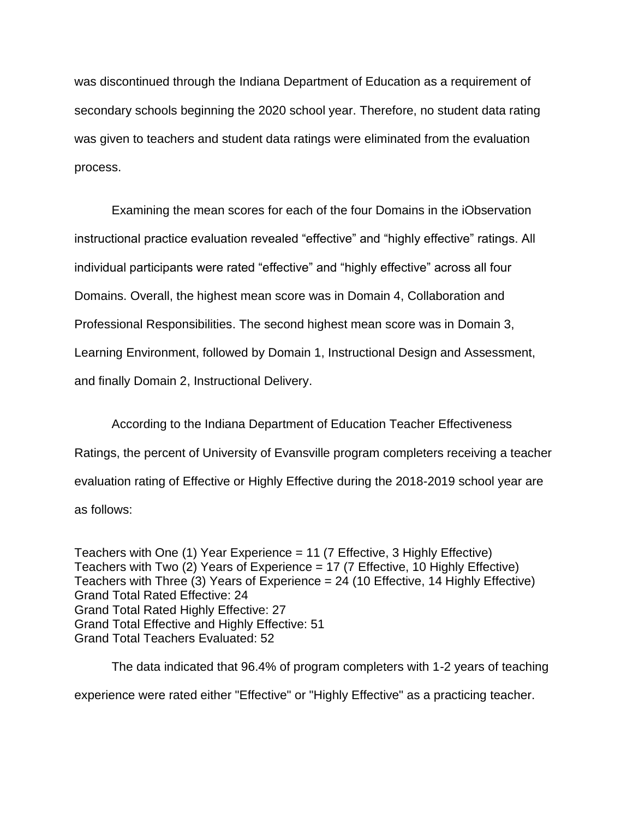was discontinued through the Indiana Department of Education as a requirement of secondary schools beginning the 2020 school year. Therefore, no student data rating was given to teachers and student data ratings were eliminated from the evaluation process.

Examining the mean scores for each of the four Domains in the iObservation instructional practice evaluation revealed "effective" and "highly effective" ratings. All individual participants were rated "effective" and "highly effective" across all four Domains. Overall, the highest mean score was in Domain 4, Collaboration and Professional Responsibilities. The second highest mean score was in Domain 3, Learning Environment, followed by Domain 1, Instructional Design and Assessment, and finally Domain 2, Instructional Delivery.

According to the Indiana Department of Education Teacher Effectiveness Ratings, the percent of University of Evansville program completers receiving a teacher evaluation rating of Effective or Highly Effective during the 2018-2019 school year are as follows:

Teachers with One (1) Year Experience = 11 (7 Effective, 3 Highly Effective) Teachers with Two (2) Years of Experience = 17 (7 Effective, 10 Highly Effective) Teachers with Three (3) Years of Experience = 24 (10 Effective, 14 Highly Effective) Grand Total Rated Effective: 24 Grand Total Rated Highly Effective: 27 Grand Total Effective and Highly Effective: 51 Grand Total Teachers Evaluated: 52

The data indicated that 96.4% of program completers with 1-2 years of teaching experience were rated either "Effective" or "Highly Effective" as a practicing teacher.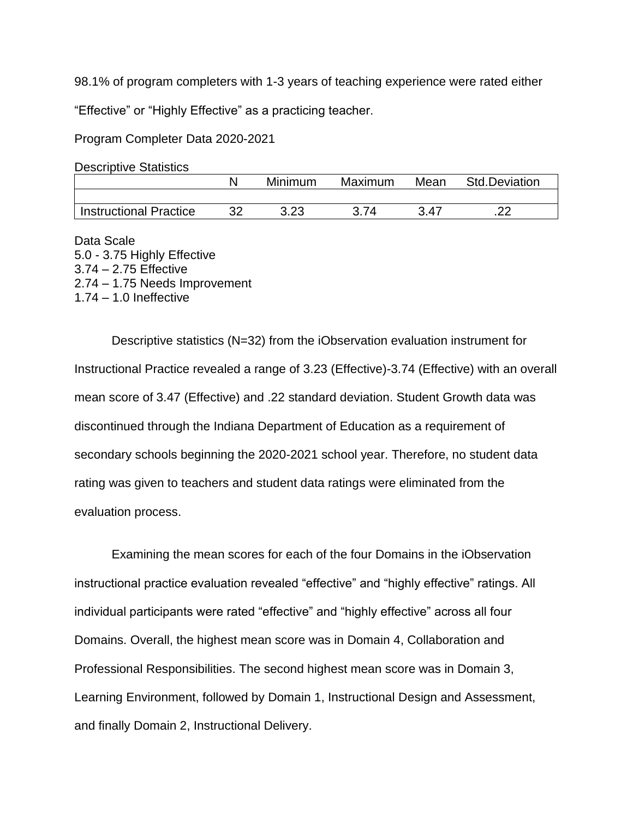98.1% of program completers with 1-3 years of teaching experience were rated either

"Effective" or "Highly Effective" as a practicing teacher.

Program Completer Data 2020-2021

| <b>Descriptive Statistics</b> |  |
|-------------------------------|--|
|-------------------------------|--|

|                               | Minimum | Maximum | Mean | <b>Std.Deviation</b> |
|-------------------------------|---------|---------|------|----------------------|
|                               |         |         |      |                      |
| <b>Instructional Practice</b> | ממ מ    |         | 3.47 |                      |

Data Scale 5.0 - 3.75 Highly Effective 3.74 – 2.75 Effective 2.74 – 1.75 Needs Improvement 1.74 – 1.0 Ineffective

Descriptive statistics (N=32) from the iObservation evaluation instrument for Instructional Practice revealed a range of 3.23 (Effective)-3.74 (Effective) with an overall mean score of 3.47 (Effective) and .22 standard deviation. Student Growth data was discontinued through the Indiana Department of Education as a requirement of secondary schools beginning the 2020-2021 school year. Therefore, no student data rating was given to teachers and student data ratings were eliminated from the evaluation process.

Examining the mean scores for each of the four Domains in the iObservation instructional practice evaluation revealed "effective" and "highly effective" ratings. All individual participants were rated "effective" and "highly effective" across all four Domains. Overall, the highest mean score was in Domain 4, Collaboration and Professional Responsibilities. The second highest mean score was in Domain 3, Learning Environment, followed by Domain 1, Instructional Design and Assessment, and finally Domain 2, Instructional Delivery.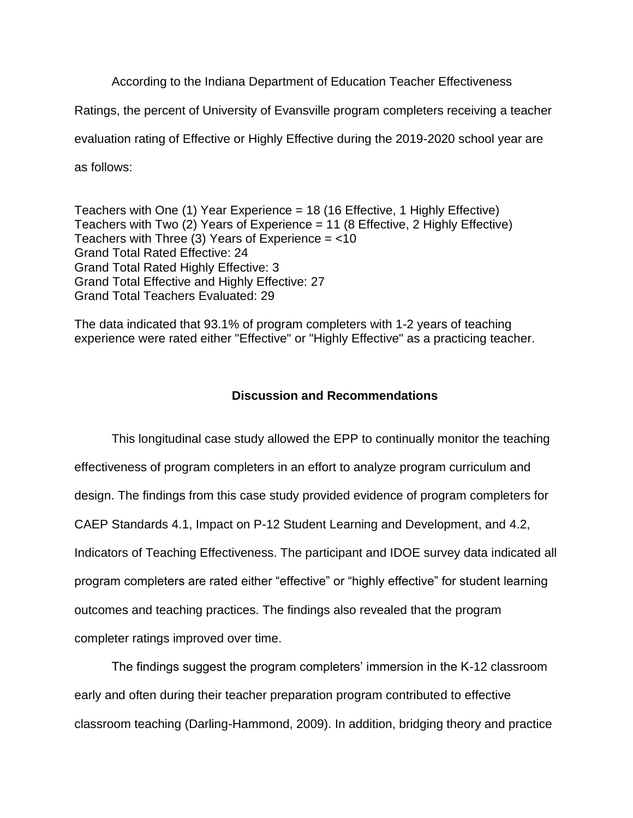According to the Indiana Department of Education Teacher Effectiveness

Ratings, the percent of University of Evansville program completers receiving a teacher

evaluation rating of Effective or Highly Effective during the 2019-2020 school year are

as follows:

Teachers with One (1) Year Experience = 18 (16 Effective, 1 Highly Effective) Teachers with Two (2) Years of Experience = 11 (8 Effective, 2 Highly Effective) Teachers with Three (3) Years of Experience =  $<$ 10 Grand Total Rated Effective: 24 Grand Total Rated Highly Effective: 3 Grand Total Effective and Highly Effective: 27 Grand Total Teachers Evaluated: 29

The data indicated that 93.1% of program completers with 1-2 years of teaching experience were rated either "Effective" or "Highly Effective" as a practicing teacher.

# **Discussion and Recommendations**

This longitudinal case study allowed the EPP to continually monitor the teaching effectiveness of program completers in an effort to analyze program curriculum and design. The findings from this case study provided evidence of program completers for CAEP Standards 4.1, Impact on P-12 Student Learning and Development, and 4.2, Indicators of Teaching Effectiveness. The participant and IDOE survey data indicated all program completers are rated either "effective" or "highly effective" for student learning outcomes and teaching practices. The findings also revealed that the program completer ratings improved over time.

The findings suggest the program completers' immersion in the K-12 classroom early and often during their teacher preparation program contributed to effective classroom teaching (Darling-Hammond, 2009). In addition, bridging theory and practice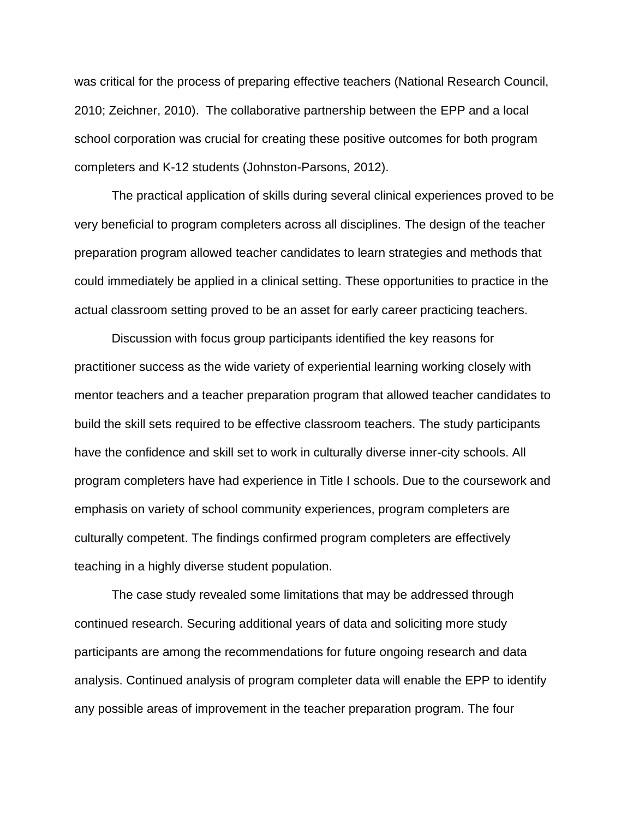was critical for the process of preparing effective teachers (National Research Council, 2010; Zeichner, 2010). The collaborative partnership between the EPP and a local school corporation was crucial for creating these positive outcomes for both program completers and K-12 students (Johnston-Parsons, 2012).

The practical application of skills during several clinical experiences proved to be very beneficial to program completers across all disciplines. The design of the teacher preparation program allowed teacher candidates to learn strategies and methods that could immediately be applied in a clinical setting. These opportunities to practice in the actual classroom setting proved to be an asset for early career practicing teachers.

Discussion with focus group participants identified the key reasons for practitioner success as the wide variety of experiential learning working closely with mentor teachers and a teacher preparation program that allowed teacher candidates to build the skill sets required to be effective classroom teachers. The study participants have the confidence and skill set to work in culturally diverse inner-city schools. All program completers have had experience in Title I schools. Due to the coursework and emphasis on variety of school community experiences, program completers are culturally competent. The findings confirmed program completers are effectively teaching in a highly diverse student population.

The case study revealed some limitations that may be addressed through continued research. Securing additional years of data and soliciting more study participants are among the recommendations for future ongoing research and data analysis. Continued analysis of program completer data will enable the EPP to identify any possible areas of improvement in the teacher preparation program. The four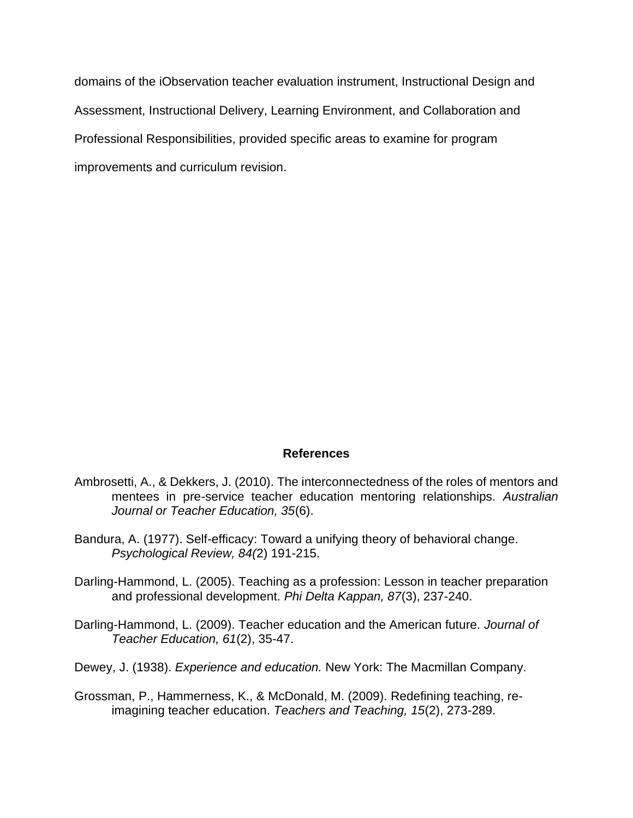domains of the iObservation teacher evaluation instrument, Instructional Design and Assessment, Instructional Delivery, Learning Environment, and Collaboration and Professional Responsibilities, provided specific areas to examine for program improvements and curriculum revision.

## **References**

- Ambrosetti, A., & Dekkers, J. (2010). The interconnectedness of the roles of mentors and mentees in pre-service teacher education mentoring relationships. *Australian Journal or Teacher Education, 35*(6).
- Bandura, A. (1977). Self-efficacy: Toward a unifying theory of behavioral change. *Psychological Review, 84(*2) 191-215.
- Darling-Hammond, L. (2005). Teaching as a profession: [Lesson](http://www.ascd.org/publications/educational-leadership/may03/vol60/num08/Keeping-Good-Teachers@-Why-It-Matters,-What-Leaders-Can-Do.aspx) in teacher preparation and professional development. *Phi Delta Kappan, 87*(3), 237-240.
- Darling-Hammond, L. (2009). Teacher education and the American future. *Journal of Teacher Education, 61*(2), 35-47.
- Dewey, J. (1938). *Experience and education.* New York: The Macmillan Company.
- Grossman, P., Hammerness, K., & McDonald, M. (2009). Redefining teaching, reimagining teacher education. *Teachers and Teaching, 15*(2), 273-289.